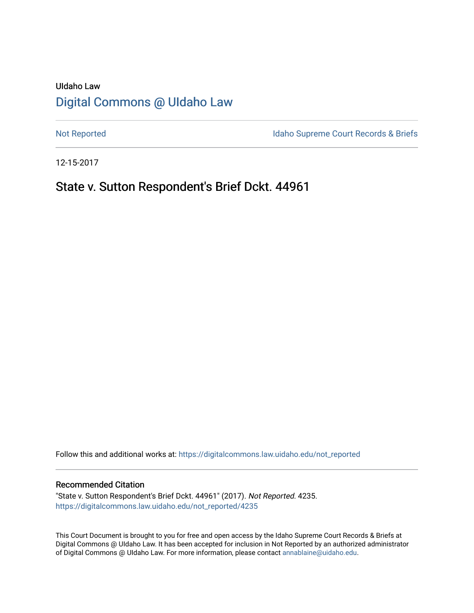## UIdaho Law [Digital Commons @ UIdaho Law](https://digitalcommons.law.uidaho.edu/)

[Not Reported](https://digitalcommons.law.uidaho.edu/not_reported) **Idaho Supreme Court Records & Briefs** 

12-15-2017

## State v. Sutton Respondent's Brief Dckt. 44961

Follow this and additional works at: [https://digitalcommons.law.uidaho.edu/not\\_reported](https://digitalcommons.law.uidaho.edu/not_reported?utm_source=digitalcommons.law.uidaho.edu%2Fnot_reported%2F4235&utm_medium=PDF&utm_campaign=PDFCoverPages) 

#### Recommended Citation

"State v. Sutton Respondent's Brief Dckt. 44961" (2017). Not Reported. 4235. [https://digitalcommons.law.uidaho.edu/not\\_reported/4235](https://digitalcommons.law.uidaho.edu/not_reported/4235?utm_source=digitalcommons.law.uidaho.edu%2Fnot_reported%2F4235&utm_medium=PDF&utm_campaign=PDFCoverPages)

This Court Document is brought to you for free and open access by the Idaho Supreme Court Records & Briefs at Digital Commons @ UIdaho Law. It has been accepted for inclusion in Not Reported by an authorized administrator of Digital Commons @ UIdaho Law. For more information, please contact [annablaine@uidaho.edu](mailto:annablaine@uidaho.edu).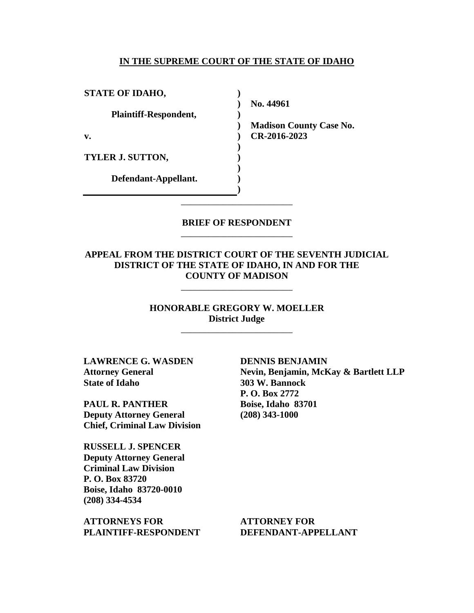#### **IN THE SUPREME COURT OF THE STATE OF IDAHO**

**)**

**)**

**) ) ) ) ) )**

| <b>STATE OF IDAHO,</b>       |
|------------------------------|
| <b>Plaintiff-Respondent,</b> |
| v.                           |
| <b>TYLER J. SUTTON,</b>      |
| Defendant-Appellant.         |

**) No. 44961** 

**) Madison County Case No. CR-2016-2023** 

### **BRIEF OF RESPONDENT** \_\_\_\_\_\_\_\_\_\_\_\_\_\_\_\_\_\_\_\_\_\_\_\_

\_\_\_\_\_\_\_\_\_\_\_\_\_\_\_\_\_\_\_\_\_\_\_\_

### **APPEAL FROM THE DISTRICT COURT OF THE SEVENTH JUDICIAL DISTRICT OF THE STATE OF IDAHO, IN AND FOR THE COUNTY OF MADISON**

\_\_\_\_\_\_\_\_\_\_\_\_\_\_\_\_\_\_\_\_\_\_\_\_

**HONORABLE GREGORY W. MOELLER District Judge**

\_\_\_\_\_\_\_\_\_\_\_\_\_\_\_\_\_\_\_\_\_\_\_\_

**LAWRENCE G. WASDEN Attorney General State of Idaho**

**PAUL R. PANTHER Deputy Attorney General Chief, Criminal Law Division**

**RUSSELL J. SPENCER Deputy Attorney General Criminal Law Division P. O. Box 83720 Boise, Idaho 83720-0010 (208) 334-4534** 

**ATTORNEYS FOR PLAINTIFF-RESPONDENT** **DENNIS BENJAMIN Nevin, Benjamin, McKay & Bartlett LLP 303 W. Bannock P. O. Box 2772 Boise, Idaho 83701 (208) 343-1000** 

**ATTORNEY FOR DEFENDANT-APPELLANT**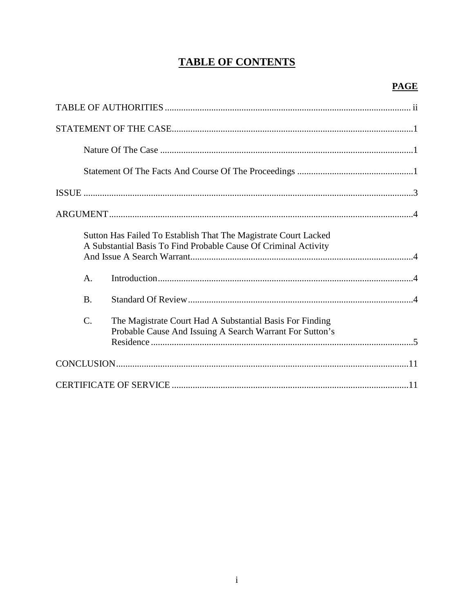# **TABLE OF CONTENTS**

|                 | Sutton Has Failed To Establish That The Magistrate Court Lacked<br>A Substantial Basis To Find Probable Cause Of Criminal Activity |
|-----------------|------------------------------------------------------------------------------------------------------------------------------------|
| $\mathsf{A}$ .  |                                                                                                                                    |
| <b>B.</b>       |                                                                                                                                    |
| $\mathcal{C}$ . | The Magistrate Court Had A Substantial Basis For Finding<br>Probable Cause And Issuing A Search Warrant For Sutton's               |
|                 |                                                                                                                                    |
|                 |                                                                                                                                    |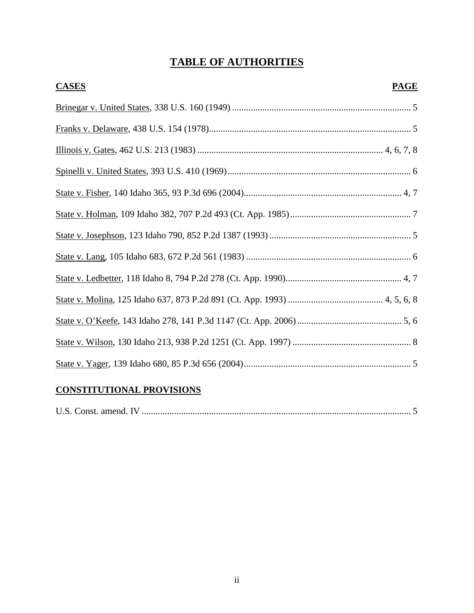# **TABLE OF AUTHORITIES**

| <b>CASES</b> | <b>PAGE</b> |
|--------------|-------------|
|              |             |
|              |             |
|              |             |
|              |             |
|              |             |
|              |             |
|              |             |
|              |             |
|              |             |
|              |             |
|              |             |
|              |             |
|              |             |

## **CONSTITUTIONAL PROVISIONS**

|--|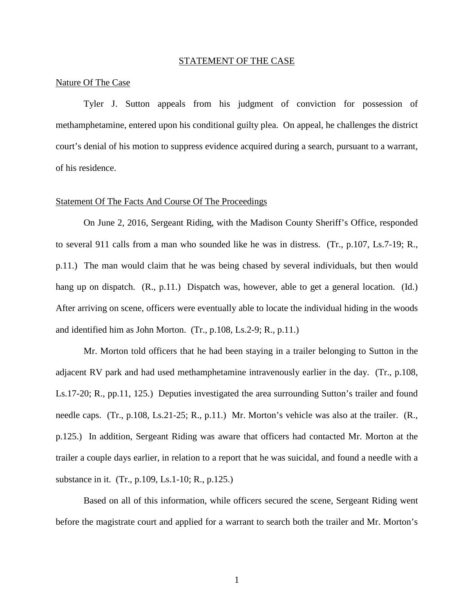#### STATEMENT OF THE CASE

#### Nature Of The Case

Tyler J. Sutton appeals from his judgment of conviction for possession of methamphetamine, entered upon his conditional guilty plea. On appeal, he challenges the district court's denial of his motion to suppress evidence acquired during a search, pursuant to a warrant, of his residence.

#### Statement Of The Facts And Course Of The Proceedings

On June 2, 2016, Sergeant Riding, with the Madison County Sheriff's Office, responded to several 911 calls from a man who sounded like he was in distress. (Tr., p.107, Ls.7-19; R., p.11.) The man would claim that he was being chased by several individuals, but then would hang up on dispatch. (R., p.11.) Dispatch was, however, able to get a general location. (Id.) After arriving on scene, officers were eventually able to locate the individual hiding in the woods and identified him as John Morton. (Tr., p.108, Ls.2-9; R., p.11.)

Mr. Morton told officers that he had been staying in a trailer belonging to Sutton in the adjacent RV park and had used methamphetamine intravenously earlier in the day. (Tr., p.108, Ls.17-20; R., pp.11, 125.) Deputies investigated the area surrounding Sutton's trailer and found needle caps. (Tr., p.108, Ls.21-25; R., p.11.) Mr. Morton's vehicle was also at the trailer. (R., p.125.) In addition, Sergeant Riding was aware that officers had contacted Mr. Morton at the trailer a couple days earlier, in relation to a report that he was suicidal, and found a needle with a substance in it. (Tr., p.109, Ls.1-10; R., p.125.)

Based on all of this information, while officers secured the scene, Sergeant Riding went before the magistrate court and applied for a warrant to search both the trailer and Mr. Morton's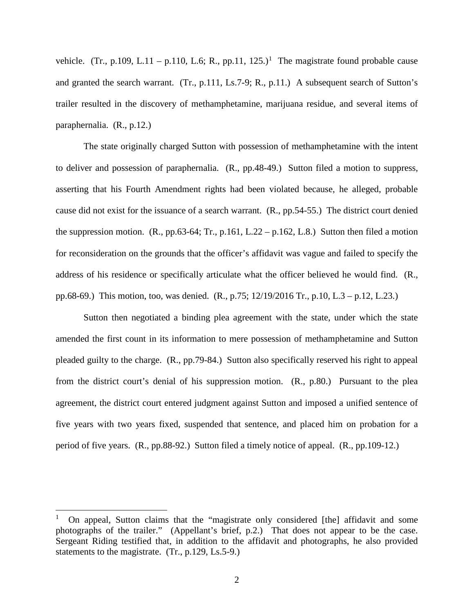vehicle. (Tr., p.[1](#page-5-0)09, L.11 – p.110, L.6; R., pp.11, 125.)<sup>1</sup> The magistrate found probable cause and granted the search warrant. (Tr., p.111, Ls.7-9; R., p.11.) A subsequent search of Sutton's trailer resulted in the discovery of methamphetamine, marijuana residue, and several items of paraphernalia. (R., p.12.)

The state originally charged Sutton with possession of methamphetamine with the intent to deliver and possession of paraphernalia. (R., pp.48-49.) Sutton filed a motion to suppress, asserting that his Fourth Amendment rights had been violated because, he alleged, probable cause did not exist for the issuance of a search warrant. (R., pp.54-55.) The district court denied the suppression motion.  $(R., pp.63-64; Tr., p.161, L.22 - p.162, L.8.)$  Sutton then filed a motion for reconsideration on the grounds that the officer's affidavit was vague and failed to specify the address of his residence or specifically articulate what the officer believed he would find. (R., pp.68-69.) This motion, too, was denied. (R., p.75; 12/19/2016 Tr., p.10, L.3 – p.12, L.23.)

Sutton then negotiated a binding plea agreement with the state, under which the state amended the first count in its information to mere possession of methamphetamine and Sutton pleaded guilty to the charge. (R., pp.79-84.) Sutton also specifically reserved his right to appeal from the district court's denial of his suppression motion. (R., p.80.) Pursuant to the plea agreement, the district court entered judgment against Sutton and imposed a unified sentence of five years with two years fixed, suspended that sentence, and placed him on probation for a period of five years. (R., pp.88-92.) Sutton filed a timely notice of appeal. (R., pp.109-12.)

 $\overline{a}$ 

<span id="page-5-0"></span><sup>1</sup> On appeal, Sutton claims that the "magistrate only considered [the] affidavit and some photographs of the trailer." (Appellant's brief, p.2.) That does not appear to be the case. Sergeant Riding testified that, in addition to the affidavit and photographs, he also provided statements to the magistrate. (Tr., p.129, Ls.5-9.)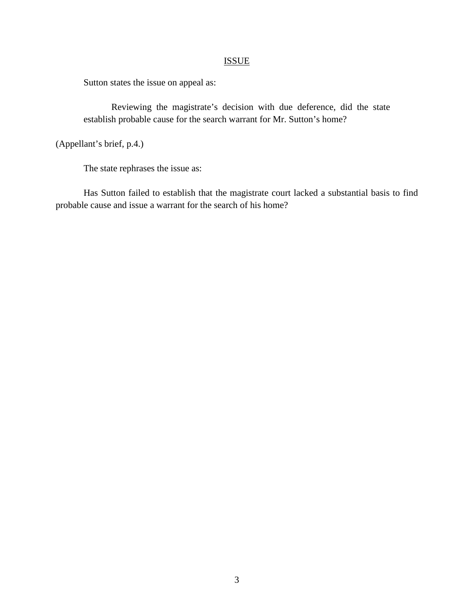## ISSUE

Sutton states the issue on appeal as:

Reviewing the magistrate's decision with due deference, did the state establish probable cause for the search warrant for Mr. Sutton's home?

(Appellant's brief, p.4.)

The state rephrases the issue as:

Has Sutton failed to establish that the magistrate court lacked a substantial basis to find probable cause and issue a warrant for the search of his home?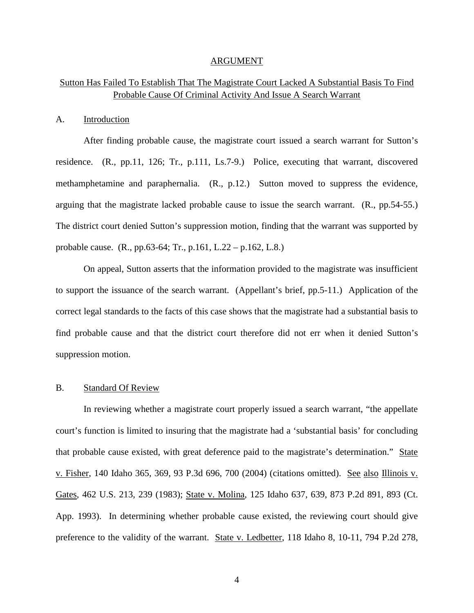#### ARGUMENT

## Sutton Has Failed To Establish That The Magistrate Court Lacked A Substantial Basis To Find Probable Cause Of Criminal Activity And Issue A Search Warrant

#### A. Introduction

After finding probable cause, the magistrate court issued a search warrant for Sutton's residence. (R., pp.11, 126; Tr., p.111, Ls.7-9.) Police, executing that warrant, discovered methamphetamine and paraphernalia. (R., p.12.) Sutton moved to suppress the evidence, arguing that the magistrate lacked probable cause to issue the search warrant. (R., pp.54-55.) The district court denied Sutton's suppression motion, finding that the warrant was supported by probable cause. (R., pp.63-64; Tr., p.161, L.22 – p.162, L.8.)

On appeal, Sutton asserts that the information provided to the magistrate was insufficient to support the issuance of the search warrant. (Appellant's brief, pp.5-11.) Application of the correct legal standards to the facts of this case shows that the magistrate had a substantial basis to find probable cause and that the district court therefore did not err when it denied Sutton's suppression motion.

### B. Standard Of Review

In reviewing whether a magistrate court properly issued a search warrant, "the appellate court's function is limited to insuring that the magistrate had a 'substantial basis' for concluding that probable cause existed, with great deference paid to the magistrate's determination." State v. Fisher, 140 Idaho 365, 369, 93 P.3d 696, 700 (2004) (citations omitted). See also Illinois v. Gates, 462 U.S. 213, 239 (1983); State v. Molina, 125 Idaho 637, 639, 873 P.2d 891, 893 (Ct. App. 1993). In determining whether probable cause existed, the reviewing court should give preference to the validity of the warrant. State v. Ledbetter, 118 Idaho 8, 10-11, 794 P.2d 278,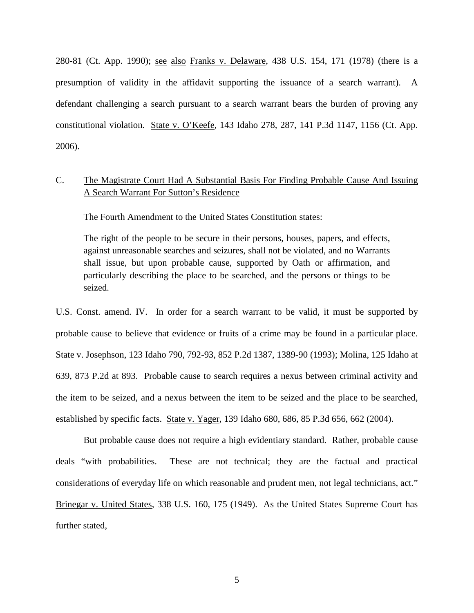280-81 (Ct. App. 1990); see also Franks v. Delaware, 438 U.S. 154, 171 (1978) (there is a presumption of validity in the affidavit supporting the issuance of a search warrant). A defendant challenging a search pursuant to a search warrant bears the burden of proving any constitutional violation. State v. O'Keefe, 143 Idaho 278, 287, 141 P.3d 1147, 1156 (Ct. App. 2006).

## C. The Magistrate Court Had A Substantial Basis For Finding Probable Cause And Issuing A Search Warrant For Sutton's Residence

The Fourth Amendment to the United States Constitution states:

The right of the people to be secure in their persons, houses, papers, and effects, against unreasonable searches and seizures, shall not be violated, and no Warrants shall issue, but upon probable cause, supported by Oath or affirmation, and particularly describing the place to be searched, and the persons or things to be seized.

U.S. Const. amend. IV. In order for a search warrant to be valid, it must be supported by probable cause to believe that evidence or fruits of a crime may be found in a particular place. State v. Josephson, 123 Idaho 790, 792-93, 852 P.2d 1387, 1389-90 (1993); Molina, 125 Idaho at 639, 873 P.2d at 893. Probable cause to search requires a nexus between criminal activity and the item to be seized, and a nexus between the item to be seized and the place to be searched, established by specific facts. State v. Yager, 139 Idaho 680, 686, 85 P.3d 656, 662 (2004).

But probable cause does not require a high evidentiary standard. Rather, probable cause deals "with probabilities. These are not technical; they are the factual and practical considerations of everyday life on which reasonable and prudent men, not legal technicians, act." Brinegar v. United States, 338 U.S. 160, 175 (1949). As the United States Supreme Court has further stated,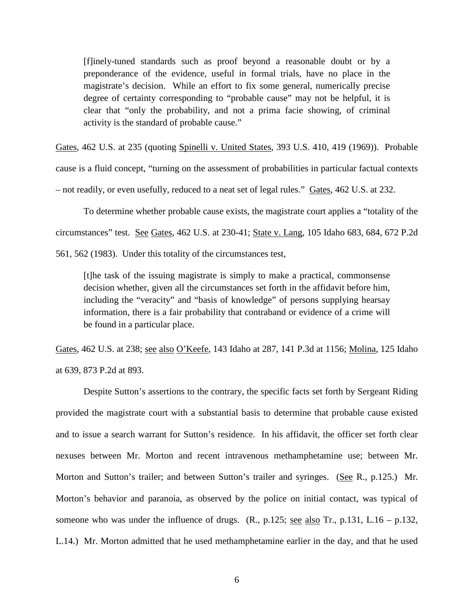[f]inely-tuned standards such as proof beyond a reasonable doubt or by a preponderance of the evidence, useful in formal trials, have no place in the magistrate's decision. While an effort to fix some general, numerically precise degree of certainty corresponding to "probable cause" may not be helpful, it is clear that "only the probability, and not a prima facie showing, of criminal activity is the standard of probable cause."

Gates, 462 U.S. at 235 (quoting Spinelli v. United States, 393 U.S. 410, 419 (1969)). Probable cause is a fluid concept, "turning on the assessment of probabilities in particular factual contexts – not readily, or even usefully, reduced to a neat set of legal rules." Gates, 462 U.S. at 232.

To determine whether probable cause exists, the magistrate court applies a "totality of the circumstances" test. See Gates, 462 U.S. at 230-41; State v. Lang, 105 Idaho 683, 684, 672 P.2d 561, 562 (1983). Under this totality of the circumstances test,

[t]he task of the issuing magistrate is simply to make a practical, commonsense decision whether, given all the circumstances set forth in the affidavit before him, including the "veracity" and "basis of knowledge" of persons supplying hearsay information, there is a fair probability that contraband or evidence of a crime will be found in a particular place.

Gates, 462 U.S. at 238; see also O'Keefe, 143 Idaho at 287, 141 P.3d at 1156; Molina, 125 Idaho at 639, 873 P.2d at 893.

Despite Sutton's assertions to the contrary, the specific facts set forth by Sergeant Riding provided the magistrate court with a substantial basis to determine that probable cause existed and to issue a search warrant for Sutton's residence. In his affidavit, the officer set forth clear nexuses between Mr. Morton and recent intravenous methamphetamine use; between Mr. Morton and Sutton's trailer; and between Sutton's trailer and syringes. (See R., p.125.) Mr. Morton's behavior and paranoia, as observed by the police on initial contact, was typical of someone who was under the influence of drugs.  $(R., p.125; \underline{\text{see also Tr.}} p.131, L.16 - p.132)$ , L.14.) Mr. Morton admitted that he used methamphetamine earlier in the day, and that he used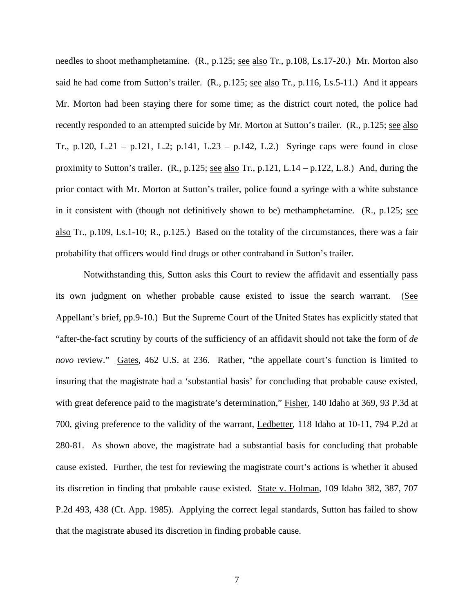needles to shoot methamphetamine. (R., p.125; see also Tr., p.108, Ls.17-20.) Mr. Morton also said he had come from Sutton's trailer. (R., p.125; see also Tr., p.116, Ls.5-11.) And it appears Mr. Morton had been staying there for some time; as the district court noted, the police had recently responded to an attempted suicide by Mr. Morton at Sutton's trailer. (R., p.125; see also Tr., p.120, L.21 – p.121, L.2; p.141, L.23 – p.142, L.2.) Syringe caps were found in close proximity to Sutton's trailer. (R., p.125; see also Tr., p.121, L.14 – p.122, L.8.) And, during the prior contact with Mr. Morton at Sutton's trailer, police found a syringe with a white substance in it consistent with (though not definitively shown to be) methamphetamine. (R., p.125; see also Tr., p.109, Ls.1-10; R., p.125.) Based on the totality of the circumstances, there was a fair probability that officers would find drugs or other contraband in Sutton's trailer.

Notwithstanding this, Sutton asks this Court to review the affidavit and essentially pass its own judgment on whether probable cause existed to issue the search warrant. (See Appellant's brief, pp.9-10.) But the Supreme Court of the United States has explicitly stated that "after-the-fact scrutiny by courts of the sufficiency of an affidavit should not take the form of *de novo* review." Gates, 462 U.S. at 236. Rather, "the appellate court's function is limited to insuring that the magistrate had a 'substantial basis' for concluding that probable cause existed, with great deference paid to the magistrate's determination," Fisher, 140 Idaho at 369, 93 P.3d at 700, giving preference to the validity of the warrant, Ledbetter, 118 Idaho at 10-11, 794 P.2d at 280-81. As shown above, the magistrate had a substantial basis for concluding that probable cause existed. Further, the test for reviewing the magistrate court's actions is whether it abused its discretion in finding that probable cause existed. State v. Holman, 109 Idaho 382, 387, 707 P.2d 493, 438 (Ct. App. 1985). Applying the correct legal standards, Sutton has failed to show that the magistrate abused its discretion in finding probable cause.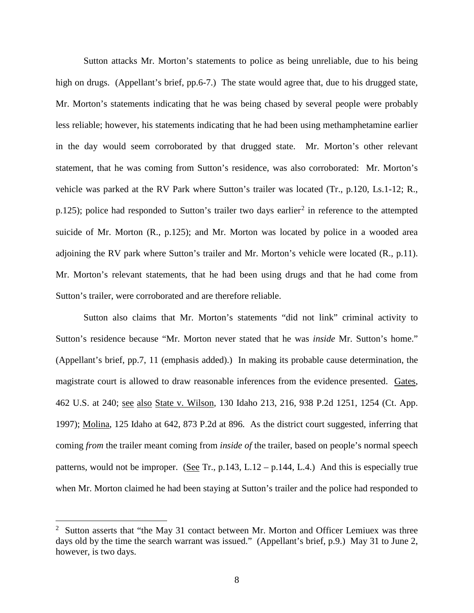Sutton attacks Mr. Morton's statements to police as being unreliable, due to his being high on drugs. (Appellant's brief, pp.6-7.) The state would agree that, due to his drugged state, Mr. Morton's statements indicating that he was being chased by several people were probably less reliable; however, his statements indicating that he had been using methamphetamine earlier in the day would seem corroborated by that drugged state. Mr. Morton's other relevant statement, that he was coming from Sutton's residence, was also corroborated: Mr. Morton's vehicle was parked at the RV Park where Sutton's trailer was located (Tr., p.120, Ls.1-12; R., p.1[2](#page-11-0)5); police had responded to Sutton's trailer two days earlier<sup>2</sup> in reference to the attempted suicide of Mr. Morton (R., p.125); and Mr. Morton was located by police in a wooded area adjoining the RV park where Sutton's trailer and Mr. Morton's vehicle were located (R., p.11). Mr. Morton's relevant statements, that he had been using drugs and that he had come from Sutton's trailer, were corroborated and are therefore reliable.

Sutton also claims that Mr. Morton's statements "did not link" criminal activity to Sutton's residence because "Mr. Morton never stated that he was *inside* Mr. Sutton's home." (Appellant's brief, pp.7, 11 (emphasis added).) In making its probable cause determination, the magistrate court is allowed to draw reasonable inferences from the evidence presented. Gates, 462 U.S. at 240; <u>see also State v. Wilson</u>, 130 Idaho 213, 216, 938 P.2d 1251, 1254 (Ct. App. 1997); Molina, 125 Idaho at 642, 873 P.2d at 896. As the district court suggested, inferring that coming *from* the trailer meant coming from *inside of* the trailer, based on people's normal speech patterns, would not be improper. (See Tr., p.143, L.12 – p.144, L.4.) And this is especially true when Mr. Morton claimed he had been staying at Sutton's trailer and the police had responded to

 $\overline{a}$ 

<span id="page-11-0"></span> $2$  Sutton asserts that "the May 31 contact between Mr. Morton and Officer Lemiuex was three days old by the time the search warrant was issued." (Appellant's brief, p.9.) May 31 to June 2, however, is two days.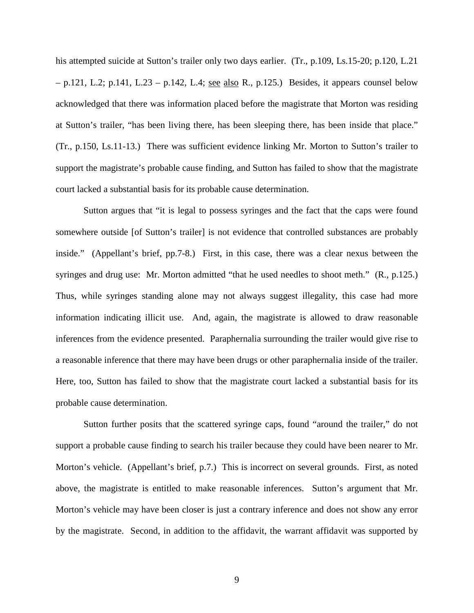his attempted suicide at Sutton's trailer only two days earlier. (Tr., p.109, Ls.15-20; p.120, L.21 - p.121, L.2; p.141, L.23 - p.142, L.4; <u>see also</u> R., p.125.) Besides, it appears counsel below acknowledged that there was information placed before the magistrate that Morton was residing at Sutton's trailer, "has been living there, has been sleeping there, has been inside that place." (Tr., p.150, Ls.11-13.) There was sufficient evidence linking Mr. Morton to Sutton's trailer to support the magistrate's probable cause finding, and Sutton has failed to show that the magistrate court lacked a substantial basis for its probable cause determination.

Sutton argues that "it is legal to possess syringes and the fact that the caps were found somewhere outside [of Sutton's trailer] is not evidence that controlled substances are probably inside." (Appellant's brief, pp.7-8.) First, in this case, there was a clear nexus between the syringes and drug use: Mr. Morton admitted "that he used needles to shoot meth." (R., p.125.) Thus, while syringes standing alone may not always suggest illegality, this case had more information indicating illicit use. And, again, the magistrate is allowed to draw reasonable inferences from the evidence presented. Paraphernalia surrounding the trailer would give rise to a reasonable inference that there may have been drugs or other paraphernalia inside of the trailer. Here, too, Sutton has failed to show that the magistrate court lacked a substantial basis for its probable cause determination.

Sutton further posits that the scattered syringe caps, found "around the trailer," do not support a probable cause finding to search his trailer because they could have been nearer to Mr. Morton's vehicle. (Appellant's brief, p.7.) This is incorrect on several grounds. First, as noted above, the magistrate is entitled to make reasonable inferences. Sutton's argument that Mr. Morton's vehicle may have been closer is just a contrary inference and does not show any error by the magistrate. Second, in addition to the affidavit, the warrant affidavit was supported by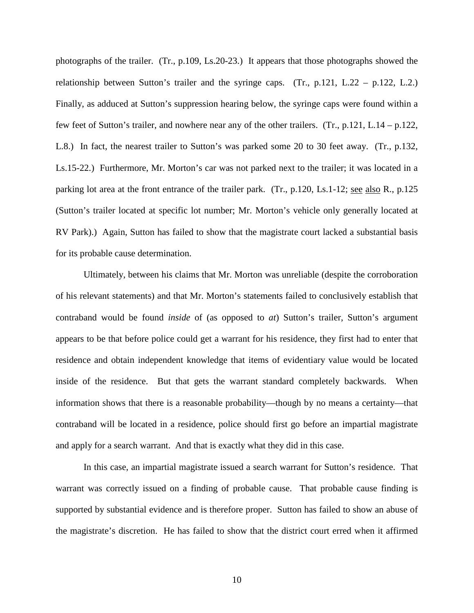photographs of the trailer. (Tr., p.109, Ls.20-23.) It appears that those photographs showed the relationship between Sutton's trailer and the syringe caps. (Tr., p.121, L.22 – p.122, L.2.) Finally, as adduced at Sutton's suppression hearing below, the syringe caps were found within a few feet of Sutton's trailer, and nowhere near any of the other trailers. (Tr., p.121, L.14 – p.122, L.8.) In fact, the nearest trailer to Sutton's was parked some 20 to 30 feet away. (Tr., p.132, Ls.15-22.) Furthermore, Mr. Morton's car was not parked next to the trailer; it was located in a parking lot area at the front entrance of the trailer park. (Tr., p.120, Ls.1-12; <u>see also</u> R., p.125 (Sutton's trailer located at specific lot number; Mr. Morton's vehicle only generally located at RV Park).) Again, Sutton has failed to show that the magistrate court lacked a substantial basis for its probable cause determination.

Ultimately, between his claims that Mr. Morton was unreliable (despite the corroboration of his relevant statements) and that Mr. Morton's statements failed to conclusively establish that contraband would be found *inside* of (as opposed to *at*) Sutton's trailer, Sutton's argument appears to be that before police could get a warrant for his residence, they first had to enter that residence and obtain independent knowledge that items of evidentiary value would be located inside of the residence. But that gets the warrant standard completely backwards. When information shows that there is a reasonable probability—though by no means a certainty—that contraband will be located in a residence, police should first go before an impartial magistrate and apply for a search warrant. And that is exactly what they did in this case.

In this case, an impartial magistrate issued a search warrant for Sutton's residence. That warrant was correctly issued on a finding of probable cause. That probable cause finding is supported by substantial evidence and is therefore proper. Sutton has failed to show an abuse of the magistrate's discretion. He has failed to show that the district court erred when it affirmed